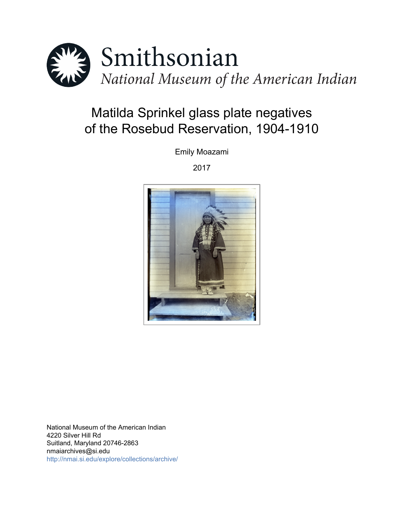

# Matilda Sprinkel glass plate negatives of the Rosebud Reservation, 1904-1910

Emily Moazami

2017



National Museum of the American Indian 4220 Silver Hill Rd Suitland, Maryland 20746-2863 nmaiarchives@si.edu <http://nmai.si.edu/explore/collections/archive/>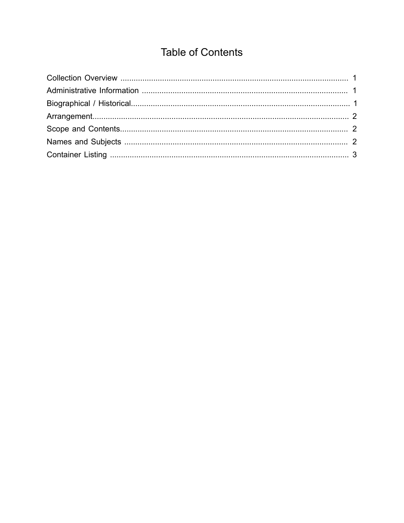## **Table of Contents**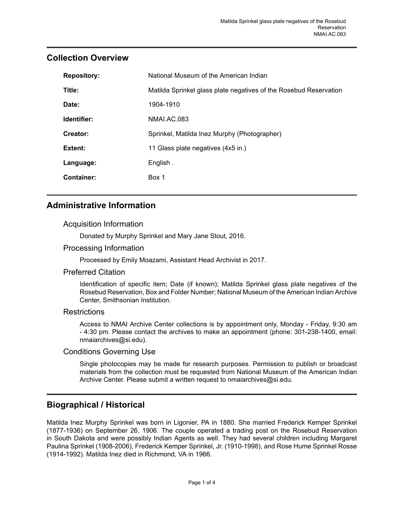| Title:<br>Matilda Sprinkel glass plate negatives of the Rosebud Reservation<br>Date:<br>1904-1910<br>Identifier:<br>NMALAC.083<br>Creator:<br>Sprinkel, Matilda Inez Murphy (Photographer)<br>Extent:<br>11 Glass plate negatives (4x5 in.)<br>English.<br>Language:<br><b>Container:</b><br>Box 1 | <b>Repository:</b> | National Museum of the American Indian |  |  |
|----------------------------------------------------------------------------------------------------------------------------------------------------------------------------------------------------------------------------------------------------------------------------------------------------|--------------------|----------------------------------------|--|--|
|                                                                                                                                                                                                                                                                                                    |                    |                                        |  |  |
|                                                                                                                                                                                                                                                                                                    |                    |                                        |  |  |
|                                                                                                                                                                                                                                                                                                    |                    |                                        |  |  |
|                                                                                                                                                                                                                                                                                                    |                    |                                        |  |  |
|                                                                                                                                                                                                                                                                                                    |                    |                                        |  |  |
|                                                                                                                                                                                                                                                                                                    |                    |                                        |  |  |
|                                                                                                                                                                                                                                                                                                    |                    |                                        |  |  |

## <span id="page-2-0"></span>**Collection Overview**

## <span id="page-2-1"></span>**Administrative Information**

#### Acquisition Information

Donated by Murphy Sprinkel and Mary Jane Stout, 2016.

#### Processing Information

Processed by Emily Moazami, Assistant Head Archivist in 2017.

#### Preferred Citation

Identification of specific item; Date (if known); Matilda Sprinkel glass plate negatives of the Rosebud Reservation, Box and Folder Number; National Museum of the American Indian Archive Center, Smithsonian Institution.

#### **Restrictions**

Access to NMAI Archive Center collections is by appointment only, Monday - Friday, 9:30 am - 4:30 pm. Please contact the archives to make an appointment (phone: 301-238-1400, email: nmaiarchives@si.edu).

#### Conditions Governing Use

Single photocopies may be made for research purposes. Permission to publish or broadcast materials from the collection must be requested from National Museum of the American Indian Archive Center. Please submit a written request to nmaiarchives@si.edu.

### <span id="page-2-2"></span>**Biographical / Historical**

Matilda Inez Murphy Sprinkel was born in Ligonier, PA in 1880. She married Frederick Kemper Sprinkel (1877-1936) on September 26, 1906. The couple operated a trading post on the Rosebud Reservation in South Dakota and were possibly Indian Agents as well. They had several children including Margaret Paulina Sprinkel (1908-2006), Frederick Kemper Sprinkel, Jr. (1910-1998), and Rose Hume Sprinkel Rosse (1914-1992). Matilda Inez died in Richmond, VA in 1966.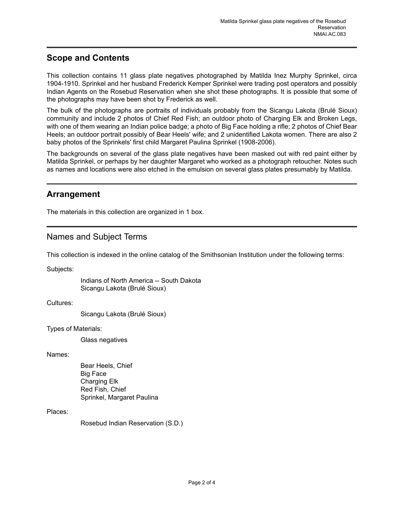## <span id="page-3-1"></span>**Scope and Contents**

This collection contains 11 glass plate negatives photographed by Matilda Inez Murphy Sprinkel, circa 1904-1910. Sprinkel and her husband Frederick Kemper Sprinkel were trading post operators and possibly Indian Agents on the Rosebud Reservation when she shot these photographs. It is possible that some of the photographs may have been shot by Frederick as well.

The bulk of the photographs are portraits of individuals probably from the Sicangu Lakota (Brulé Sioux) community and include 2 photos of Chief Red Fish; an outdoor photo of Charging Elk and Broken Legs, with one of them wearing an Indian police badge; a photo of Big Face holding a rifle; 2 photos of Chief Bear Heels; an outdoor portrait possibly of Bear Heels' wife; and 2 unidentified Lakota women. There are also 2 baby photos of the Sprinkels' first child Margaret Paulina Sprinkel (1908-2006).

The backgrounds on several of the glass plate negatives have been masked out with red paint either by Matilda Sprinkel, or perhaps by her daughter Margaret who worked as a photograph retoucher. Notes such as names and locations were also etched in the emulsion on several glass plates presumably by Matilda.

### <span id="page-3-0"></span>**Arrangement**

The materials in this collection are organized in 1 box.

## <span id="page-3-2"></span>Names and Subject Terms

This collection is indexed in the online catalog of the Smithsonian Institution under the following terms:

Subjects:

Indians of North America -- South Dakota Sicangu Lakota (Brulé Sioux)

Cultures:

Sicangu Lakota (Brulé Sioux)

Types of Materials:

Glass negatives

Names:

Bear Heels, Chief Big Face Charging Elk Red Fish, Chief Sprinkel, Margaret Paulina

#### Places:

Rosebud Indian Reservation (S.D.)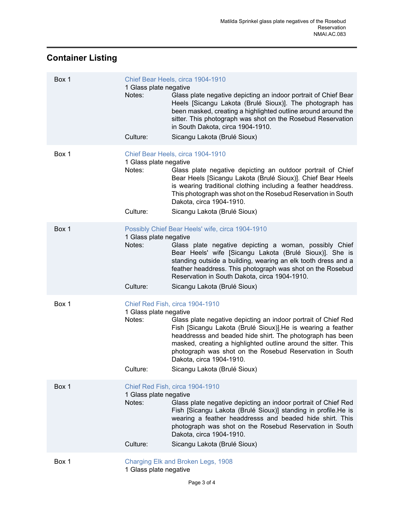## <span id="page-4-0"></span>**Container Listing**

| Box 1 | 1 Glass plate negative<br>Notes:             | Chief Bear Heels, circa 1904-1910<br>Glass plate negative depicting an indoor portrait of Chief Bear<br>Heels [Sicangu Lakota (Brulé Sioux)]. The photograph has<br>been masked, creating a highlighted outline around around the<br>sitter. This photograph was shot on the Rosebud Reservation<br>in South Dakota, circa 1904-1910.                                                                                   |
|-------|----------------------------------------------|-------------------------------------------------------------------------------------------------------------------------------------------------------------------------------------------------------------------------------------------------------------------------------------------------------------------------------------------------------------------------------------------------------------------------|
|       | Culture:                                     | Sicangu Lakota (Brulé Sioux)                                                                                                                                                                                                                                                                                                                                                                                            |
| Box 1 | 1 Glass plate negative<br>Notes:<br>Culture: | Chief Bear Heels, circa 1904-1910<br>Glass plate negative depicting an outdoor portrait of Chief<br>Bear Heels [Sicangu Lakota (Brulé Sioux)]. Chief Bear Heels<br>is wearing traditional clothing including a feather headdress.<br>This photograph was shot on the Rosebud Reservation in South<br>Dakota, circa 1904-1910.<br>Sicangu Lakota (Brulé Sioux)                                                           |
| Box 1 |                                              | Possibly Chief Bear Heels' wife, circa 1904-1910                                                                                                                                                                                                                                                                                                                                                                        |
|       | 1 Glass plate negative<br>Notes:             | Glass plate negative depicting a woman, possibly Chief<br>Bear Heels' wife [Sicangu Lakota (Brulé Sioux)]. She is<br>standing outside a building, wearing an elk tooth dress and a<br>feather headdress. This photograph was shot on the Rosebud<br>Reservation in South Dakota, circa 1904-1910.                                                                                                                       |
|       | Culture:                                     | Sicangu Lakota (Brulé Sioux)                                                                                                                                                                                                                                                                                                                                                                                            |
| Box 1 | 1 Glass plate negative<br>Notes:<br>Culture: | Chief Red Fish, circa 1904-1910<br>Glass plate negative depicting an indoor portrait of Chief Red<br>Fish [Sicangu Lakota (Brulé Sioux)]. He is wearing a feather<br>headdresss and beaded hide shirt. The photograph has been<br>masked, creating a highlighted outline around the sitter. This<br>photograph was shot on the Rosebud Reservation in South<br>Dakota, circa 1904-1910.<br>Sicangu Lakota (Brulé Sioux) |
| Box 1 | 1 Glass plate negative<br>Notes:<br>Culture: | Chief Red Fish, circa 1904-1910<br>Glass plate negative depicting an indoor portrait of Chief Red<br>Fish [Sicangu Lakota (Brulé Sioux)] standing in profile. He is<br>wearing a feather headdresss and beaded hide shirt. This<br>photograph was shot on the Rosebud Reservation in South<br>Dakota, circa 1904-1910.<br>Sicangu Lakota (Brulé Sioux)                                                                  |
| Box 1 |                                              | Charging Elk and Broken Legs, 1908                                                                                                                                                                                                                                                                                                                                                                                      |
|       |                                              |                                                                                                                                                                                                                                                                                                                                                                                                                         |

1 Glass plate negative